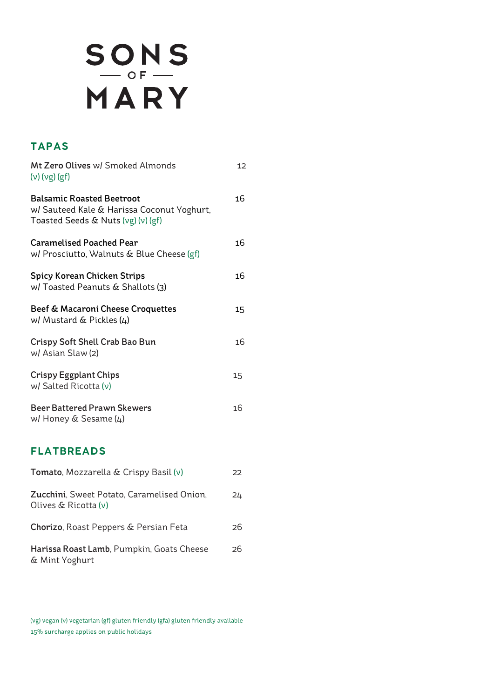# SONS<br>MARY

# **TAPAS**

| Mt Zero Olives w/ Smoked Almonds<br>(ν) (νg) (gf)                                                                    | 12              |
|----------------------------------------------------------------------------------------------------------------------|-----------------|
| <b>Balsamic Roasted Beetroot</b><br>w/ Sauteed Kale & Harissa Coconut Yoghurt,<br>Toasted Seeds & Nuts (vg) (v) (gf) | 16              |
| <b>Caramelised Poached Pear</b><br>w/ Prosciutto, Walnuts & Blue Cheese (gf)                                         | 16              |
| <b>Spicy Korean Chicken Strips</b><br>w/ Toasted Peanuts & Shallots (3)                                              | 16              |
| Beef & Macaroni Cheese Croquettes<br>w/ Mustard $\&$ Pickles (4)                                                     | 15 <sub>1</sub> |
| Crispy Soft Shell Crab Bao Bun<br>w/ Asian Slaw (2)                                                                  | 16              |
| <b>Crispy Eggplant Chips</b><br>w/ Salted Ricotta (v)                                                                | 15              |
| <b>Beer Battered Prawn Skewers</b><br>w/ Honey & Sesame (4)                                                          | 16              |

### **FLATBREADS**

| <b>Tomato, Mozzarella &amp; Crispy Basil (v)</b>                             | フフ |
|------------------------------------------------------------------------------|----|
| <b>Zucchini, Sweet Potato, Caramelised Onion,</b><br>Olives $\&$ Ricotta (v) | 24 |
| Chorizo, Roast Peppers & Persian Feta                                        | 26 |
| Harissa Roast Lamb, Pumpkin, Goats Cheese<br>& Mint Yoghurt                  | 26 |

(vg) vegan (v) vegetarian (gf) gluten friendly (gfa) gluten friendly available 15% surcharge applies on public holidays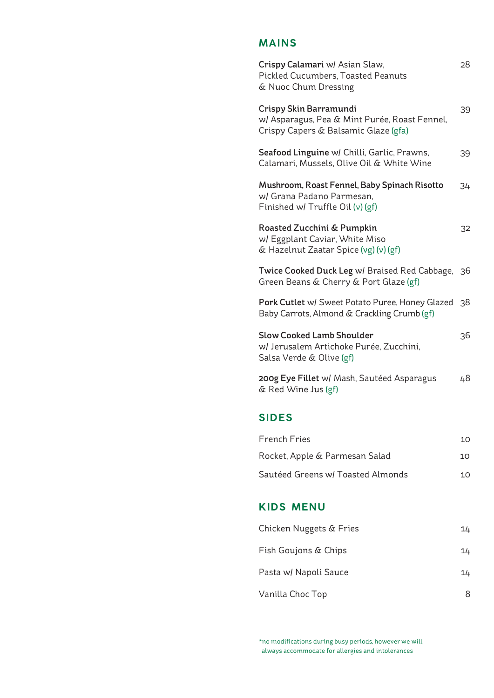## **MAINS**

| Crispy Calamari w/ Asian Slaw,<br><b>Pickled Cucumbers, Toasted Peanuts</b><br>& Nuoc Chum Dressing             | 28 |
|-----------------------------------------------------------------------------------------------------------------|----|
| Crispy Skin Barramundi<br>w/ Asparagus, Pea & Mint Purée, Roast Fennel,<br>Crispy Capers & Balsamic Glaze (gfa) | 39 |
| Seafood Linguine w/ Chilli, Garlic, Prawns,<br>Calamari, Mussels, Olive Oil & White Wine                        | 39 |
| Mushroom, Roast Fennel, Baby Spinach Risotto<br>w/ Grana Padano Parmesan,<br>Finished w/ Truffle Oil (v) (gf)   | 34 |
| Roasted Zucchini & Pumpkin<br>w/ Eggplant Caviar, White Miso<br>& Hazelnut Zaatar Spice (vg) (v) (gf)           | 32 |
| Twice Cooked Duck Leg w/ Braised Red Cabbage,<br>Green Beans & Cherry & Port Glaze (gf)                         | 36 |
| Pork Cutlet w/ Sweet Potato Puree, Honey Glazed<br>Baby Carrots, Almond & Crackling Crumb (gf)                  | 38 |
| <b>Slow Cooked Lamb Shoulder</b><br>w/ Jerusalem Artichoke Purée, Zucchini,<br>Salsa Verde & Olive (gf)         | 36 |
| 200g Eye Fillet w/ Mash, Sautéed Asparagus<br>& Red Wine Jus (gf)                                               | 48 |
| <b>SIDES</b>                                                                                                    |    |
| <b>French Fries</b>                                                                                             | 10 |
| Rocket, Apple & Parmesan Salad                                                                                  | 10 |
| Sautéed Greens w/ Toasted Almonds                                                                               | 10 |
| <b>KIDS MENU</b>                                                                                                |    |
| Chicken Nuggets & Fries                                                                                         | 14 |
| Fish Goujons & Chips                                                                                            | 14 |
| Pasta w/ Napoli Sauce                                                                                           | 14 |
| Vanilla Choc Top                                                                                                | 8  |

\*no modifications during busy periods, however we will always accommodate for allergies and intolerances